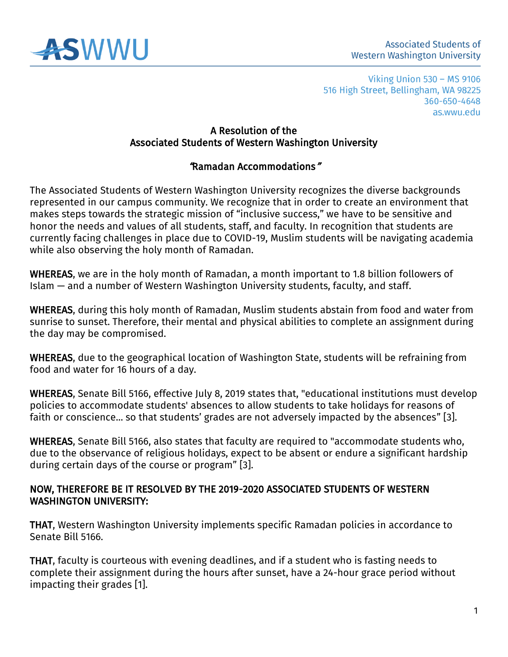

#### A Resolution of the Associated Students of Western Washington University

### "Ramadan Accommodations"

The Associated Students of Western Washington University recognizes the diverse backgrounds represented in our campus community. We recognize that in order to create an environment that makes steps towards the strategic mission of "inclusive success," we have to be sensitive and honor the needs and values of all students, staff, and faculty. In recognition that students are currently facing challenges in place due to COVID-19, Muslim students will be navigating academia while also observing the holy month of Ramadan.

WHEREAS, we are in the holy month of Ramadan, a month important to 1.8 billion followers of Islam — and a number of Western Washington University students, faculty, and staff.

WHEREAS, during this holy month of Ramadan, Muslim students abstain from food and water from sunrise to sunset. Therefore, their mental and physical abilities to complete an assignment during the day may be compromised.

WHEREAS, due to the geographical location of Washington State, students will be refraining from food and water for 16 hours of a day.

WHEREAS, Senate Bill 5166, effective July 8, 2019 states that, "educational institutions must develop policies to accommodate students' absences to allow students to take holidays for reasons of faith or conscience... so that students' grades are not adversely impacted by the absences" [3].

WHEREAS, Senate Bill 5166, also states that faculty are required to "accommodate students who, due to the observance of religious holidays, expect to be absent or endure a significant hardship during certain days of the course or program" [3].

#### NOW, THEREFORE BE IT RESOLVED BY THE 2019-2020 ASSOCIATED STUDENTS OF WESTERN WASHINGTON UNIVERSITY:

THAT, Western Washington University implements specific Ramadan policies in accordance to Senate Bill 5166.

THAT, faculty is courteous with evening deadlines, and if a student who is fasting needs to complete their assignment during the hours after sunset, have a 24-hour grace period without impacting their grades [1].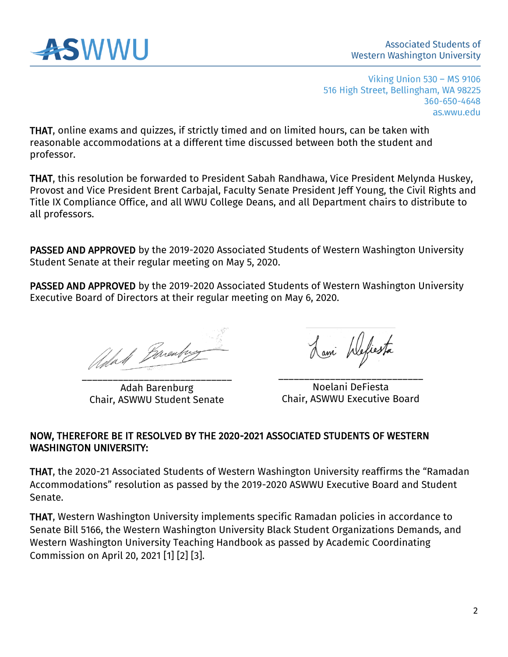

THAT, online exams and quizzes, if strictly timed and on limited hours, can be taken with reasonable accommodations at a different time discussed between both the student and professor.

THAT, this resolution be forwarded to President Sabah Randhawa, Vice President Melynda Huskey, Provost and Vice President Brent Carbajal, Faculty Senate President Jeff Young, the Civil Rights and Title IX Compliance Office, and all WWU College Deans, and all Department chairs to distribute to all professors.

PASSED AND APPROVED by the 2019-2020 Associated Students of Western Washington University Student Senate at their regular meeting on May 5, 2020.

PASSED AND APPROVED by the 2019-2020 Associated Students of Western Washington University Executive Board of Directors at their regular meeting on May 6, 2020.

Adal Barenter \_\_\_\_\_\_\_\_\_\_\_\_\_\_\_\_\_\_\_\_\_\_\_\_\_\_\_\_\_

Adah Barenburg Chair, ASWWU Student Senate

Lami Wefiesta

\_\_\_\_\_\_\_\_\_\_\_\_\_\_\_\_\_\_\_\_\_\_\_\_\_\_\_\_ Noelani DeFiesta Chair, ASWWU Executive Board

#### NOW, THEREFORE BE IT RESOLVED BY THE 2020-2021 ASSOCIATED STUDENTS OF WESTERN WASHINGTON UNIVERSITY:

THAT, the 2020-21 Associated Students of Western Washington University reaffirms the "Ramadan Accommodations" resolution as passed by the 2019-2020 ASWWU Executive Board and Student Senate.

THAT, Western Washington University implements specific Ramadan policies in accordance to Senate Bill 5166, the Western Washington University Black Student Organizations Demands, and Western Washington University Teaching Handbook as passed by Academic Coordinating Commission on April 20, 2021 [1] [2] [3].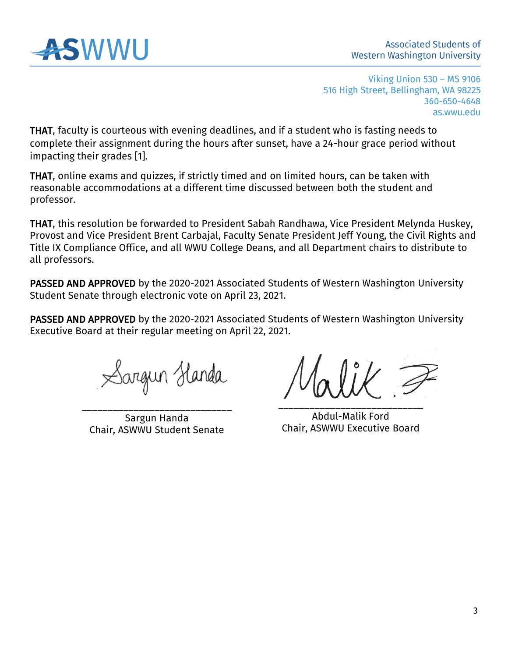

THAT, faculty is courteous with evening deadlines, and if a student who is fasting needs to complete their assignment during the hours after sunset, have a 24-hour grace period without impacting their grades [1].

THAT, online exams and quizzes, if strictly timed and on limited hours, can be taken with reasonable accommodations at a different time discussed between both the student and professor.

THAT, this resolution be forwarded to President Sabah Randhawa, Vice President Melynda Huskey, Provost and Vice President Brent Carbajal, Faculty Senate President Jeff Young, the Civil Rights and Title IX Compliance Office, and all WWU College Deans, and all Department chairs to distribute to all professors.

PASSED AND APPROVED by the 2020-2021 Associated Students of Western Washington University Student Senate through electronic vote on April 23, 2021.

PASSED AND APPROVED by the 2020-2021 Associated Students of Western Washington University Executive Board at their regular meeting on April 22, 2021.

Sargun Handa

\_\_\_\_\_\_\_\_\_\_\_\_\_\_\_\_\_\_\_\_\_\_\_\_\_\_\_\_\_ Sargun Handa Chair, ASWWU Student Senate

\_\_\_\_\_\_\_\_\_\_\_\_\_\_\_\_\_\_\_\_\_\_\_\_\_\_\_\_

Abdul-Malik Ford Chair, ASWWU Executive Board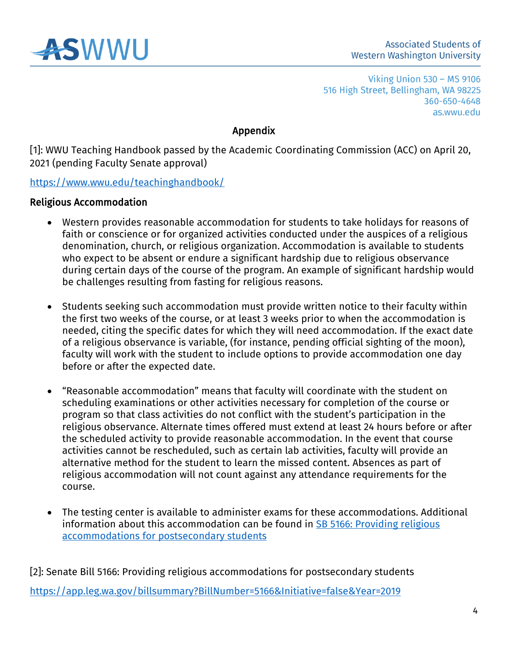

# Appendix

[1]: WWU Teaching Handbook passed by the Academic Coordinating Commission (ACC) on April 20, 2021 (pending Faculty Senate approval)

<https://www.wwu.edu/teachinghandbook/>

### Religious Accommodation

- Western provides reasonable accommodation for students to take holidays for reasons of faith or conscience or for organized activities conducted under the auspices of a religious denomination, church, or religious organization. Accommodation is available to students who expect to be absent or endure a significant hardship due to religious observance during certain days of the course of the program. An example of significant hardship would be challenges resulting from fasting for religious reasons.
- Students seeking such accommodation must provide written notice to their faculty within the first two weeks of the course, or at least 3 weeks prior to when the accommodation is needed, citing the specific dates for which they will need accommodation. If the exact date of a religious observance is variable, (for instance, pending official sighting of the moon), faculty will work with the student to include options to provide accommodation one day before or after the expected date.
- "Reasonable accommodation" means that faculty will coordinate with the student on scheduling examinations or other activities necessary for completion of the course or program so that class activities do not conflict with the student's participation in the religious observance. Alternate times offered must extend at least 24 hours before or after the scheduled activity to provide reasonable accommodation. In the event that course activities cannot be rescheduled, such as certain lab activities, faculty will provide an alternative method for the student to learn the missed content. Absences as part of religious accommodation will not count against any attendance requirements for the course.
- The testing center is available to administer exams for these accommodations. Additional information about this accommodation can be found in **SB 5166: Providing religious** [accommodations for postsecondary students](https://app.leg.wa.gov/billsummary?BillNumber=5166&Initiative=false&Year=2019)

[2]: Senate Bill 5166: Providing religious accommodations for postsecondary students <https://app.leg.wa.gov/billsummary?BillNumber=5166&Initiative=false&Year=2019>